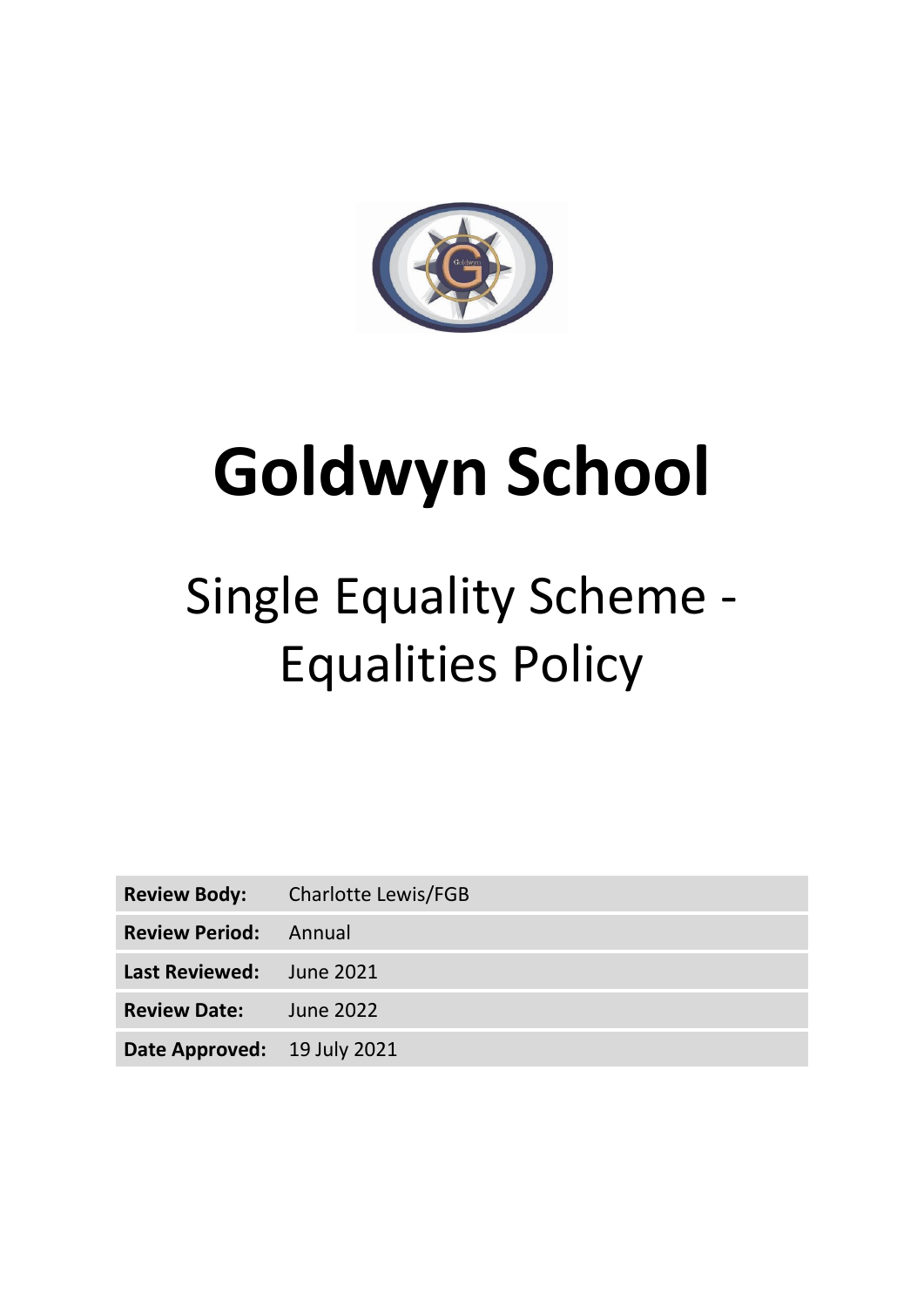

# **Goldwyn School**

# Single Equality Scheme - Equalities Policy

|                                 | <b>Review Body:</b> Charlotte Lewis/FGB |
|---------------------------------|-----------------------------------------|
| <b>Review Period:</b> Annual    |                                         |
| <b>Last Reviewed:</b> June 2021 |                                         |
| <b>Review Date:</b>             | June 2022                               |
| Date Approved: 19 July 2021     |                                         |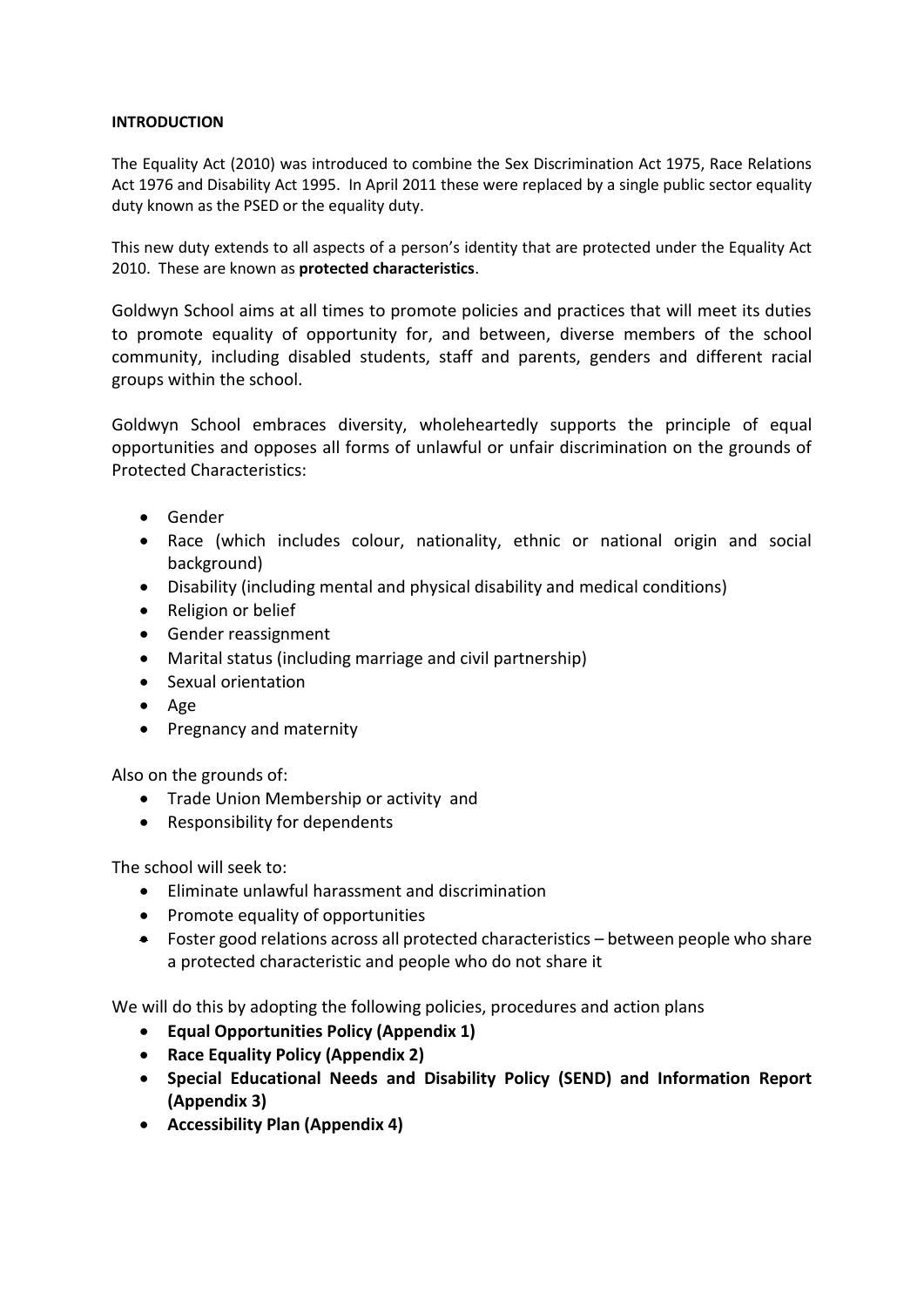#### **INTRODUCTION**

The Equality Act (2010) was introduced to combine the Sex Discrimination Act 1975, Race Relations Act 1976 and Disability Act 1995. In April 2011 these were replaced by a single public sector equality duty known as the PSED or the equality duty.

This new duty extends to all aspects of a person's identity that are protected under the Equality Act 2010. These are known as **protected characteristics**.

Goldwyn School aims at all times to promote policies and practices that will meet its duties to promote equality of opportunity for, and between, diverse members of the school community, including disabled students, staff and parents, genders and different racial groups within the school.

Goldwyn School embraces diversity, wholeheartedly supports the principle of equal opportunities and opposes all forms of unlawful or unfair discrimination on the grounds of Protected Characteristics:

- Gender
- Race (which includes colour, nationality, ethnic or national origin and social background)
- Disability (including mental and physical disability and medical conditions)
- Religion or belief
- Gender reassignment
- Marital status (including marriage and civil partnership)
- Sexual orientation
- Age
- Pregnancy and maternity

Also on the grounds of:

- Trade Union Membership or activity and
- Responsibility for dependents

The school will seek to:

- Eliminate unlawful harassment and discrimination
- Promote equality of opportunities
- Foster good relations across all protected characteristics between people who share a protected characteristic and people who do not share it

We will do this by adopting the following policies, procedures and action plans

- **Equal Opportunities Policy (Appendix 1)**
- **Race Equality Policy (Appendix 2)**
- **Special Educational Needs and Disability Policy (SEND) and Information Report (Appendix 3)**
- **Accessibility Plan (Appendix 4)**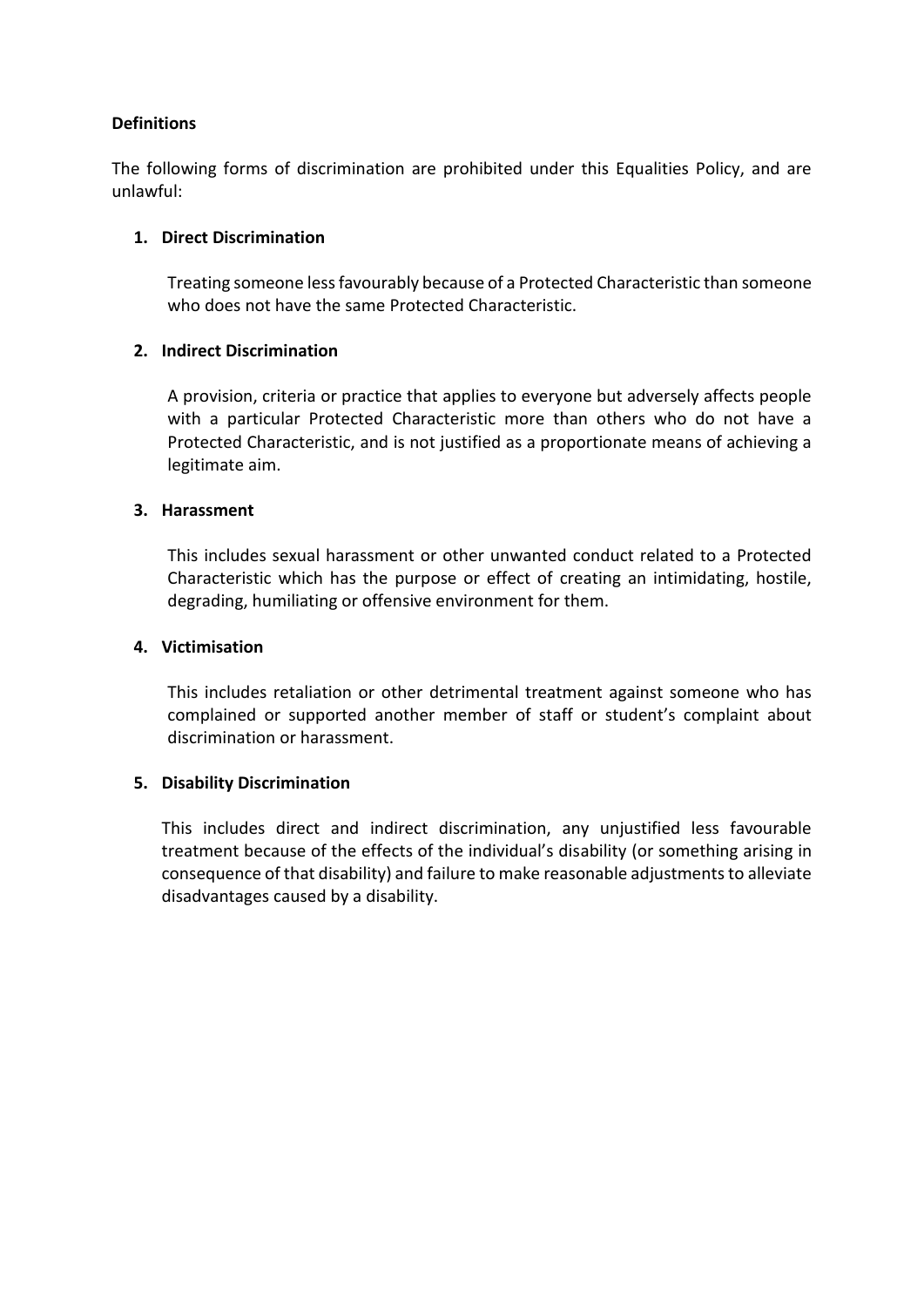# **Definitions**

The following forms of discrimination are prohibited under this Equalities Policy, and are unlawful:

#### **1. Direct Discrimination**

Treating someone less favourably because of a Protected Characteristic than someone who does not have the same Protected Characteristic.

#### **2. Indirect Discrimination**

A provision, criteria or practice that applies to everyone but adversely affects people with a particular Protected Characteristic more than others who do not have a Protected Characteristic, and is not justified as a proportionate means of achieving a legitimate aim.

#### **3. Harassment**

This includes sexual harassment or other unwanted conduct related to a Protected Characteristic which has the purpose or effect of creating an intimidating, hostile, degrading, humiliating or offensive environment for them.

# **4. Victimisation**

This includes retaliation or other detrimental treatment against someone who has complained or supported another member of staff or student's complaint about discrimination or harassment.

#### **5. Disability Discrimination**

This includes direct and indirect discrimination, any unjustified less favourable treatment because of the effects of the individual's disability (or something arising in consequence of that disability) and failure to make reasonable adjustments to alleviate disadvantages caused by a disability.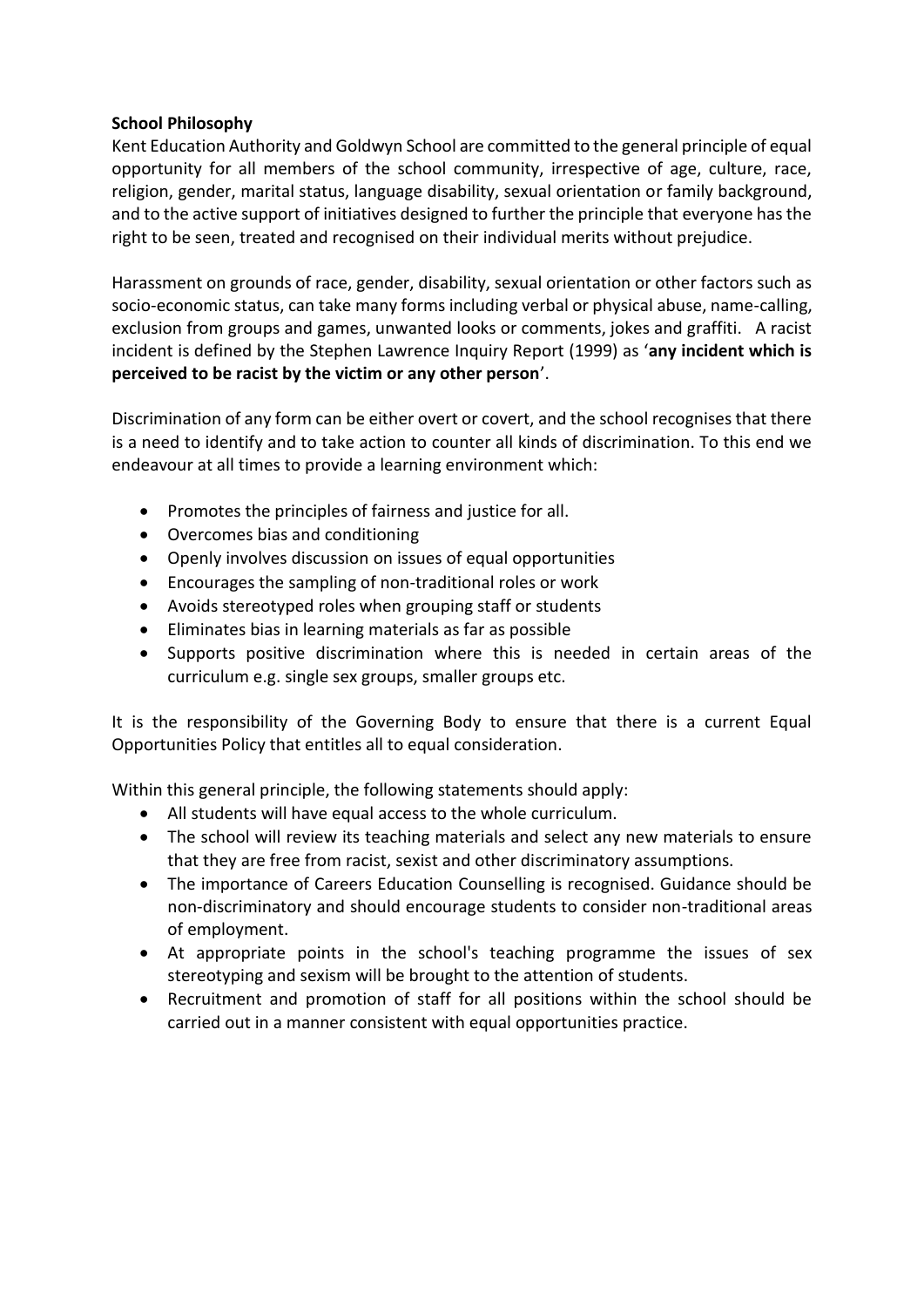#### **School Philosophy**

Kent Education Authority and Goldwyn School are committed to the general principle of equal opportunity for all members of the school community, irrespective of age, culture, race, religion, gender, marital status, language disability, sexual orientation or family background, and to the active support of initiatives designed to further the principle that everyone has the right to be seen, treated and recognised on their individual merits without prejudice.

Harassment on grounds of race, gender, disability, sexual orientation or other factors such as socio-economic status, can take many forms including verbal or physical abuse, name-calling, exclusion from groups and games, unwanted looks or comments, jokes and graffiti. A racist incident is defined by the Stephen Lawrence Inquiry Report (1999) as '**any incident which is perceived to be racist by the victim or any other person**'.

Discrimination of any form can be either overt or covert, and the school recognises that there is a need to identify and to take action to counter all kinds of discrimination. To this end we endeavour at all times to provide a learning environment which:

- Promotes the principles of fairness and justice for all.
- Overcomes bias and conditioning
- Openly involves discussion on issues of equal opportunities
- Encourages the sampling of non-traditional roles or work
- Avoids stereotyped roles when grouping staff or students
- Eliminates bias in learning materials as far as possible
- Supports positive discrimination where this is needed in certain areas of the curriculum e.g. single sex groups, smaller groups etc.

It is the responsibility of the Governing Body to ensure that there is a current Equal Opportunities Policy that entitles all to equal consideration.

Within this general principle, the following statements should apply:

- All students will have equal access to the whole curriculum.
- The school will review its teaching materials and select any new materials to ensure that they are free from racist, sexist and other discriminatory assumptions.
- The importance of Careers Education Counselling is recognised. Guidance should be non-discriminatory and should encourage students to consider non-traditional areas of employment.
- At appropriate points in the school's teaching programme the issues of sex stereotyping and sexism will be brought to the attention of students.
- Recruitment and promotion of staff for all positions within the school should be carried out in a manner consistent with equal opportunities practice.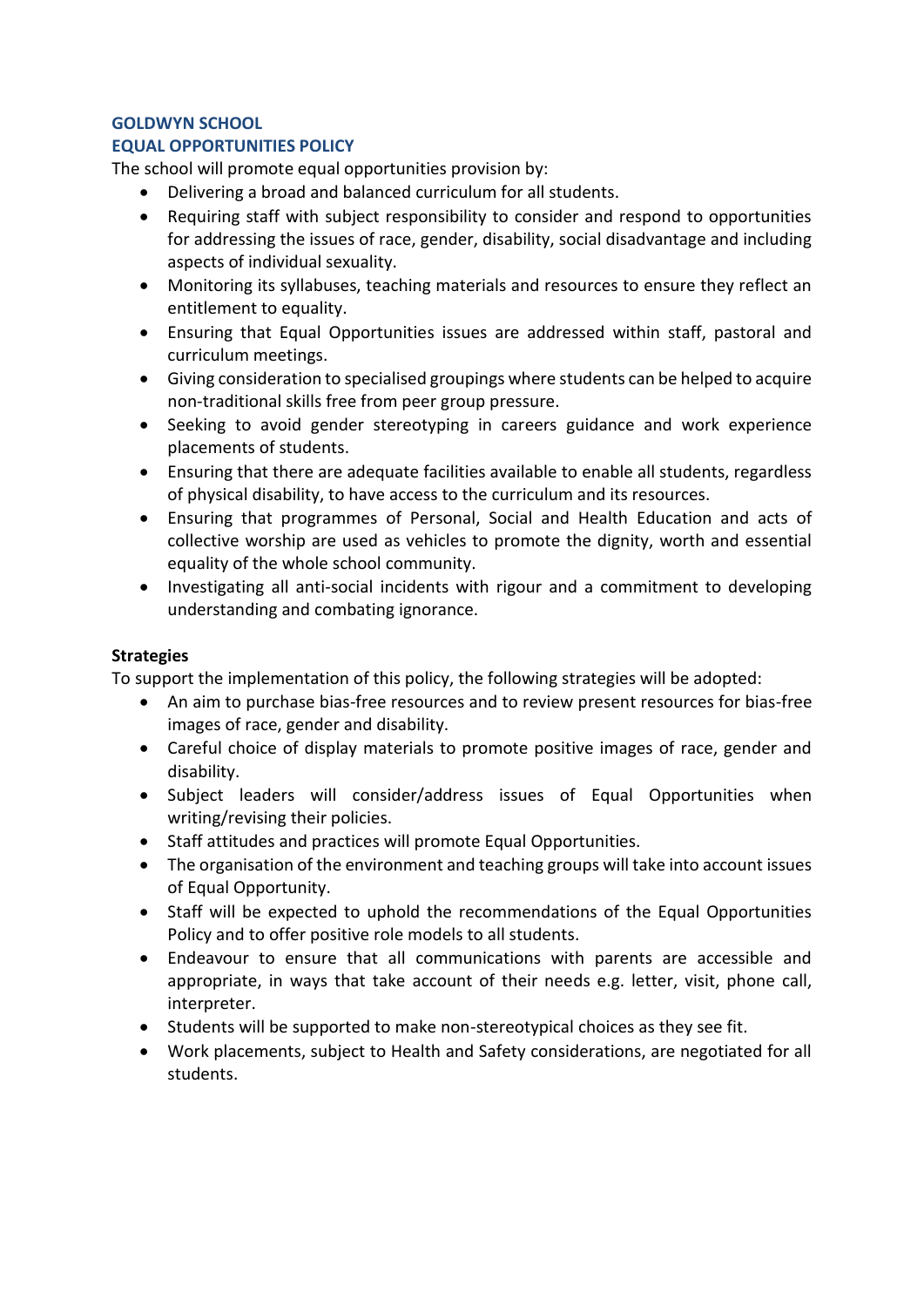# **GOLDWYN SCHOOL**

#### **EQUAL OPPORTUNITIES POLICY**

The school will promote equal opportunities provision by:

- Delivering a broad and balanced curriculum for all students.
- Requiring staff with subject responsibility to consider and respond to opportunities for addressing the issues of race, gender, disability, social disadvantage and including aspects of individual sexuality.
- Monitoring its syllabuses, teaching materials and resources to ensure they reflect an entitlement to equality.
- Ensuring that Equal Opportunities issues are addressed within staff, pastoral and curriculum meetings.
- Giving consideration to specialised groupings where students can be helped to acquire non-traditional skills free from peer group pressure.
- Seeking to avoid gender stereotyping in careers guidance and work experience placements of students.
- Ensuring that there are adequate facilities available to enable all students, regardless of physical disability, to have access to the curriculum and its resources.
- Ensuring that programmes of Personal, Social and Health Education and acts of collective worship are used as vehicles to promote the dignity, worth and essential equality of the whole school community.
- Investigating all anti-social incidents with rigour and a commitment to developing understanding and combating ignorance.

# **Strategies**

To support the implementation of this policy, the following strategies will be adopted:

- An aim to purchase bias-free resources and to review present resources for bias-free images of race, gender and disability.
- Careful choice of display materials to promote positive images of race, gender and disability.
- Subject leaders will consider/address issues of Equal Opportunities when writing/revising their policies.
- Staff attitudes and practices will promote Equal Opportunities.
- The organisation of the environment and teaching groups will take into account issues of Equal Opportunity.
- Staff will be expected to uphold the recommendations of the Equal Opportunities Policy and to offer positive role models to all students.
- Endeavour to ensure that all communications with parents are accessible and appropriate, in ways that take account of their needs e.g. letter, visit, phone call, interpreter.
- Students will be supported to make non-stereotypical choices as they see fit.
- Work placements, subject to Health and Safety considerations, are negotiated for all students.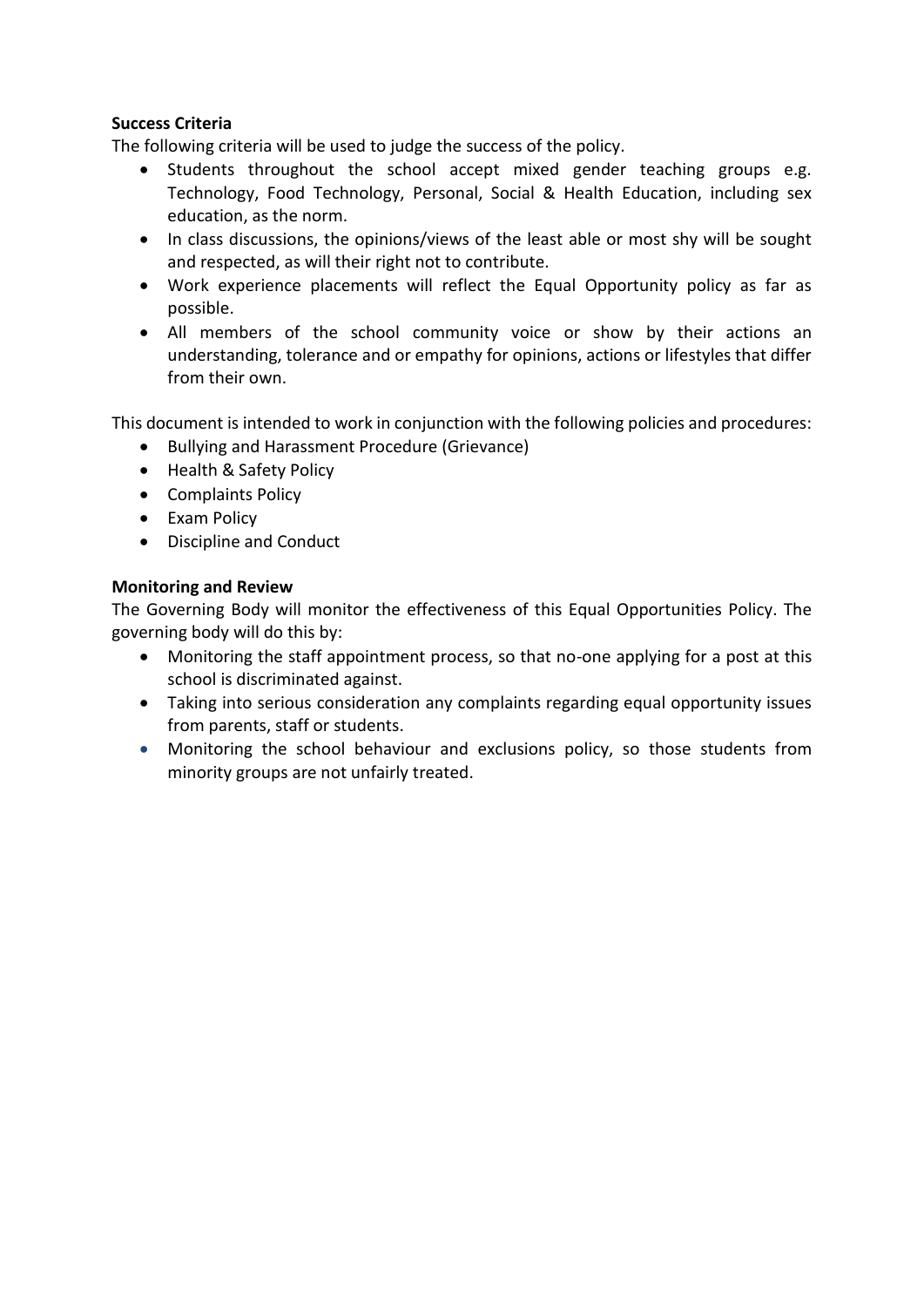# **Success Criteria**

The following criteria will be used to judge the success of the policy.

- Students throughout the school accept mixed gender teaching groups e.g. Technology, Food Technology, Personal, Social & Health Education, including sex education, as the norm.
- In class discussions, the opinions/views of the least able or most shy will be sought and respected, as will their right not to contribute.
- Work experience placements will reflect the Equal Opportunity policy as far as possible.
- All members of the school community voice or show by their actions an understanding, tolerance and or empathy for opinions, actions or lifestyles that differ from their own.

This document is intended to work in conjunction with the following policies and procedures:

- Bullying and Harassment Procedure (Grievance)
- Health & Safety Policy
- Complaints Policy
- Exam Policy
- Discipline and Conduct

#### **Monitoring and Review**

The Governing Body will monitor the effectiveness of this Equal Opportunities Policy. The governing body will do this by:

- Monitoring the staff appointment process, so that no-one applying for a post at this school is discriminated against.
- Taking into serious consideration any complaints regarding equal opportunity issues from parents, staff or students.
- Monitoring the school behaviour and exclusions policy, so those students from minority groups are not unfairly treated.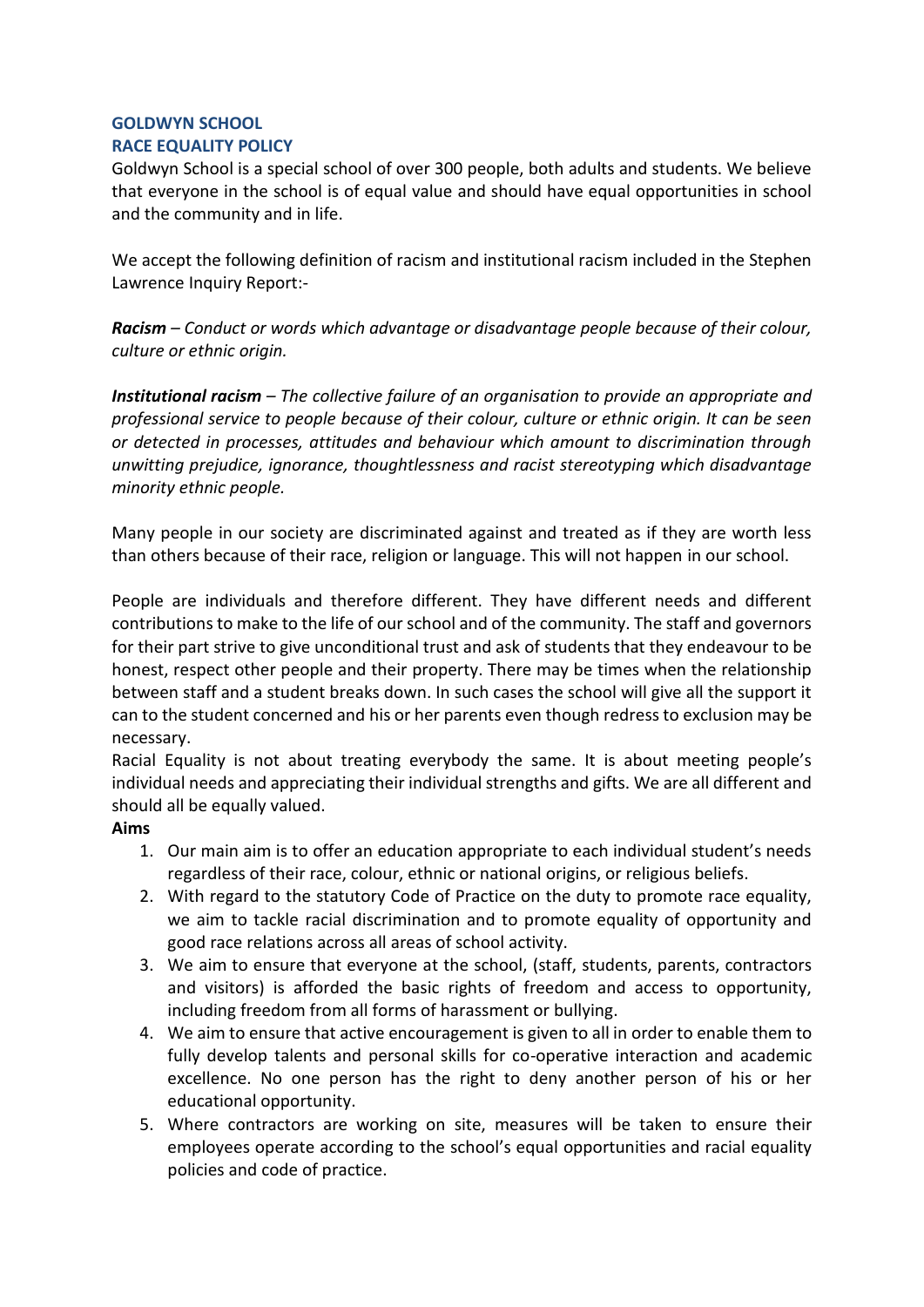# **GOLDWYN SCHOOL**

# **RACE EQUALITY POLICY**

Goldwyn School is a special school of over 300 people, both adults and students. We believe that everyone in the school is of equal value and should have equal opportunities in school and the community and in life.

We accept the following definition of racism and institutional racism included in the Stephen Lawrence Inquiry Report:-

*Racism – Conduct or words which advantage or disadvantage people because of their colour, culture or ethnic origin.* 

*Institutional racism – The collective failure of an organisation to provide an appropriate and professional service to people because of their colour, culture or ethnic origin. It can be seen or detected in processes, attitudes and behaviour which amount to discrimination through unwitting prejudice, ignorance, thoughtlessness and racist stereotyping which disadvantage minority ethnic people.* 

Many people in our society are discriminated against and treated as if they are worth less than others because of their race, religion or language. This will not happen in our school.

People are individuals and therefore different. They have different needs and different contributions to make to the life of our school and of the community. The staff and governors for their part strive to give unconditional trust and ask of students that they endeavour to be honest, respect other people and their property. There may be times when the relationship between staff and a student breaks down. In such cases the school will give all the support it can to the student concerned and his or her parents even though redress to exclusion may be necessary.

Racial Equality is not about treating everybody the same. It is about meeting people's individual needs and appreciating their individual strengths and gifts. We are all different and should all be equally valued.

# **Aims**

- 1. Our main aim is to offer an education appropriate to each individual student's needs regardless of their race, colour, ethnic or national origins, or religious beliefs.
- 2. With regard to the statutory Code of Practice on the duty to promote race equality, we aim to tackle racial discrimination and to promote equality of opportunity and good race relations across all areas of school activity.
- 3. We aim to ensure that everyone at the school, (staff, students, parents, contractors and visitors) is afforded the basic rights of freedom and access to opportunity, including freedom from all forms of harassment or bullying.
- 4. We aim to ensure that active encouragement is given to all in order to enable them to fully develop talents and personal skills for co-operative interaction and academic excellence. No one person has the right to deny another person of his or her educational opportunity.
- 5. Where contractors are working on site, measures will be taken to ensure their employees operate according to the school's equal opportunities and racial equality policies and code of practice.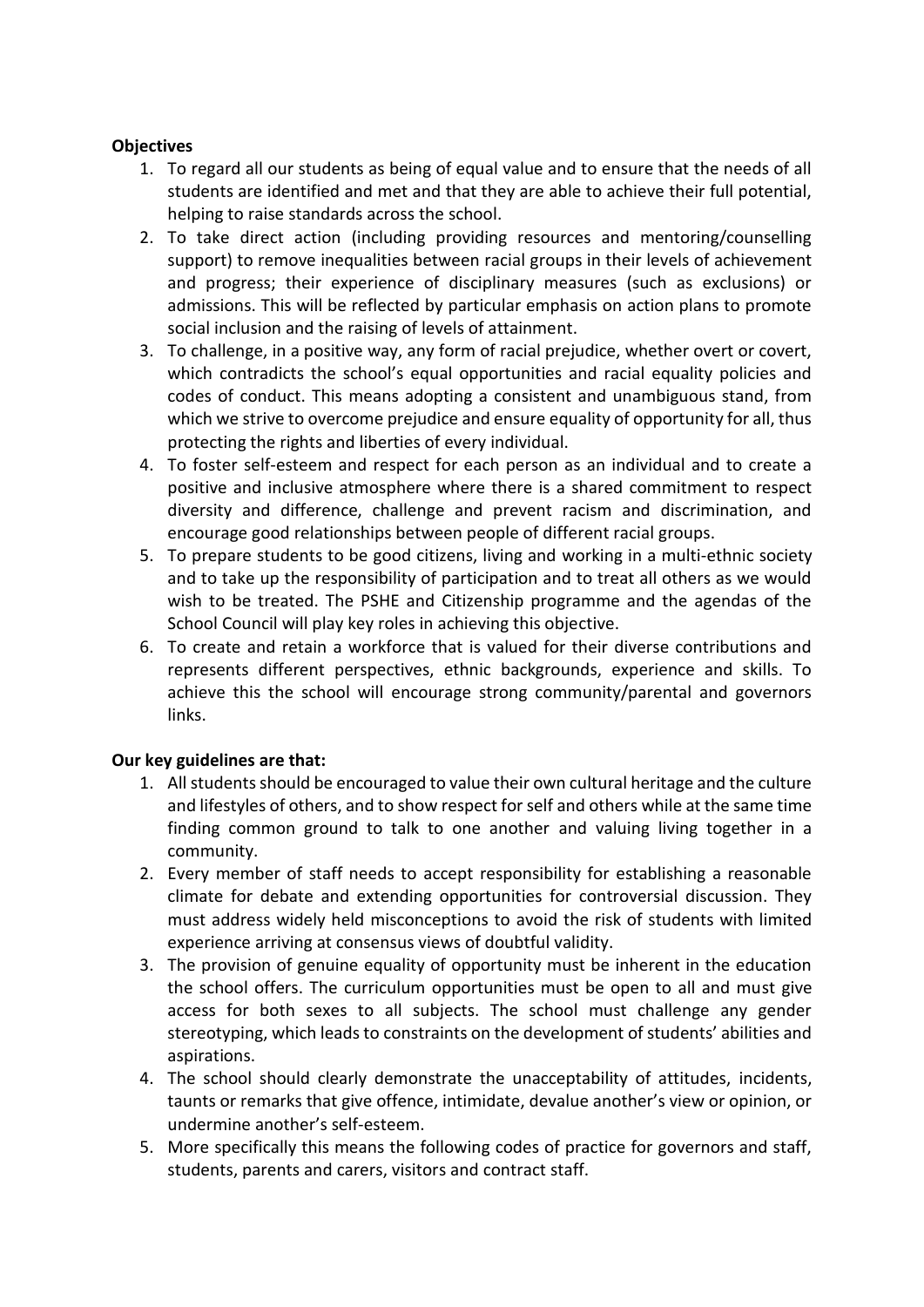# **Objectives**

- 1. To regard all our students as being of equal value and to ensure that the needs of all students are identified and met and that they are able to achieve their full potential, helping to raise standards across the school.
- 2. To take direct action (including providing resources and mentoring/counselling support) to remove inequalities between racial groups in their levels of achievement and progress; their experience of disciplinary measures (such as exclusions) or admissions. This will be reflected by particular emphasis on action plans to promote social inclusion and the raising of levels of attainment.
- 3. To challenge, in a positive way, any form of racial prejudice, whether overt or covert, which contradicts the school's equal opportunities and racial equality policies and codes of conduct. This means adopting a consistent and unambiguous stand, from which we strive to overcome prejudice and ensure equality of opportunity for all, thus protecting the rights and liberties of every individual.
- 4. To foster self-esteem and respect for each person as an individual and to create a positive and inclusive atmosphere where there is a shared commitment to respect diversity and difference, challenge and prevent racism and discrimination, and encourage good relationships between people of different racial groups.
- 5. To prepare students to be good citizens, living and working in a multi-ethnic society and to take up the responsibility of participation and to treat all others as we would wish to be treated. The PSHE and Citizenship programme and the agendas of the School Council will play key roles in achieving this objective.
- 6. To create and retain a workforce that is valued for their diverse contributions and represents different perspectives, ethnic backgrounds, experience and skills. To achieve this the school will encourage strong community/parental and governors links.

# **Our key guidelines are that:**

- 1. All students should be encouraged to value their own cultural heritage and the culture and lifestyles of others, and to show respect for self and others while at the same time finding common ground to talk to one another and valuing living together in a community.
- 2. Every member of staff needs to accept responsibility for establishing a reasonable climate for debate and extending opportunities for controversial discussion. They must address widely held misconceptions to avoid the risk of students with limited experience arriving at consensus views of doubtful validity.
- 3. The provision of genuine equality of opportunity must be inherent in the education the school offers. The curriculum opportunities must be open to all and must give access for both sexes to all subjects. The school must challenge any gender stereotyping, which leads to constraints on the development of students' abilities and aspirations.
- 4. The school should clearly demonstrate the unacceptability of attitudes, incidents, taunts or remarks that give offence, intimidate, devalue another's view or opinion, or undermine another's self-esteem.
- 5. More specifically this means the following codes of practice for governors and staff, students, parents and carers, visitors and contract staff.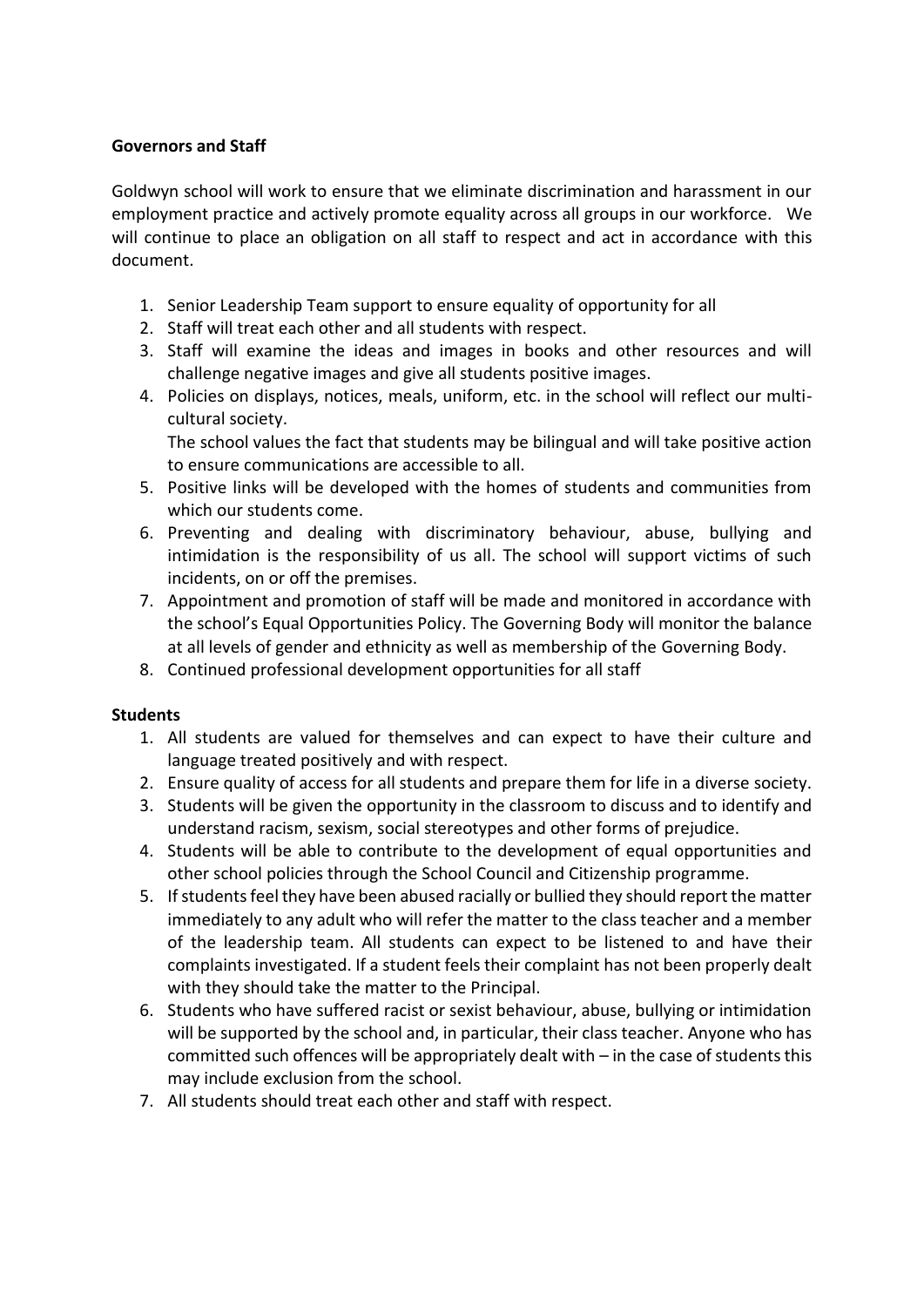# **Governors and Staff**

Goldwyn school will work to ensure that we eliminate discrimination and harassment in our employment practice and actively promote equality across all groups in our workforce. We will continue to place an obligation on all staff to respect and act in accordance with this document.

- 1. Senior Leadership Team support to ensure equality of opportunity for all
- 2. Staff will treat each other and all students with respect.
- 3. Staff will examine the ideas and images in books and other resources and will challenge negative images and give all students positive images.
- 4. Policies on displays, notices, meals, uniform, etc. in the school will reflect our multicultural society.

The school values the fact that students may be bilingual and will take positive action to ensure communications are accessible to all.

- 5. Positive links will be developed with the homes of students and communities from which our students come.
- 6. Preventing and dealing with discriminatory behaviour, abuse, bullying and intimidation is the responsibility of us all. The school will support victims of such incidents, on or off the premises.
- 7. Appointment and promotion of staff will be made and monitored in accordance with the school's Equal Opportunities Policy. The Governing Body will monitor the balance at all levels of gender and ethnicity as well as membership of the Governing Body.
- 8. Continued professional development opportunities for all staff

#### **Students**

- 1. All students are valued for themselves and can expect to have their culture and language treated positively and with respect.
- 2. Ensure quality of access for all students and prepare them for life in a diverse society.
- 3. Students will be given the opportunity in the classroom to discuss and to identify and understand racism, sexism, social stereotypes and other forms of prejudice.
- 4. Students will be able to contribute to the development of equal opportunities and other school policies through the School Council and Citizenship programme.
- 5. If students feel they have been abused racially or bullied they should report the matter immediately to any adult who will refer the matter to the class teacher and a member of the leadership team. All students can expect to be listened to and have their complaints investigated. If a student feels their complaint has not been properly dealt with they should take the matter to the Principal.
- 6. Students who have suffered racist or sexist behaviour, abuse, bullying or intimidation will be supported by the school and, in particular, their class teacher. Anyone who has committed such offences will be appropriately dealt with – in the case of students this may include exclusion from the school.
- 7. All students should treat each other and staff with respect.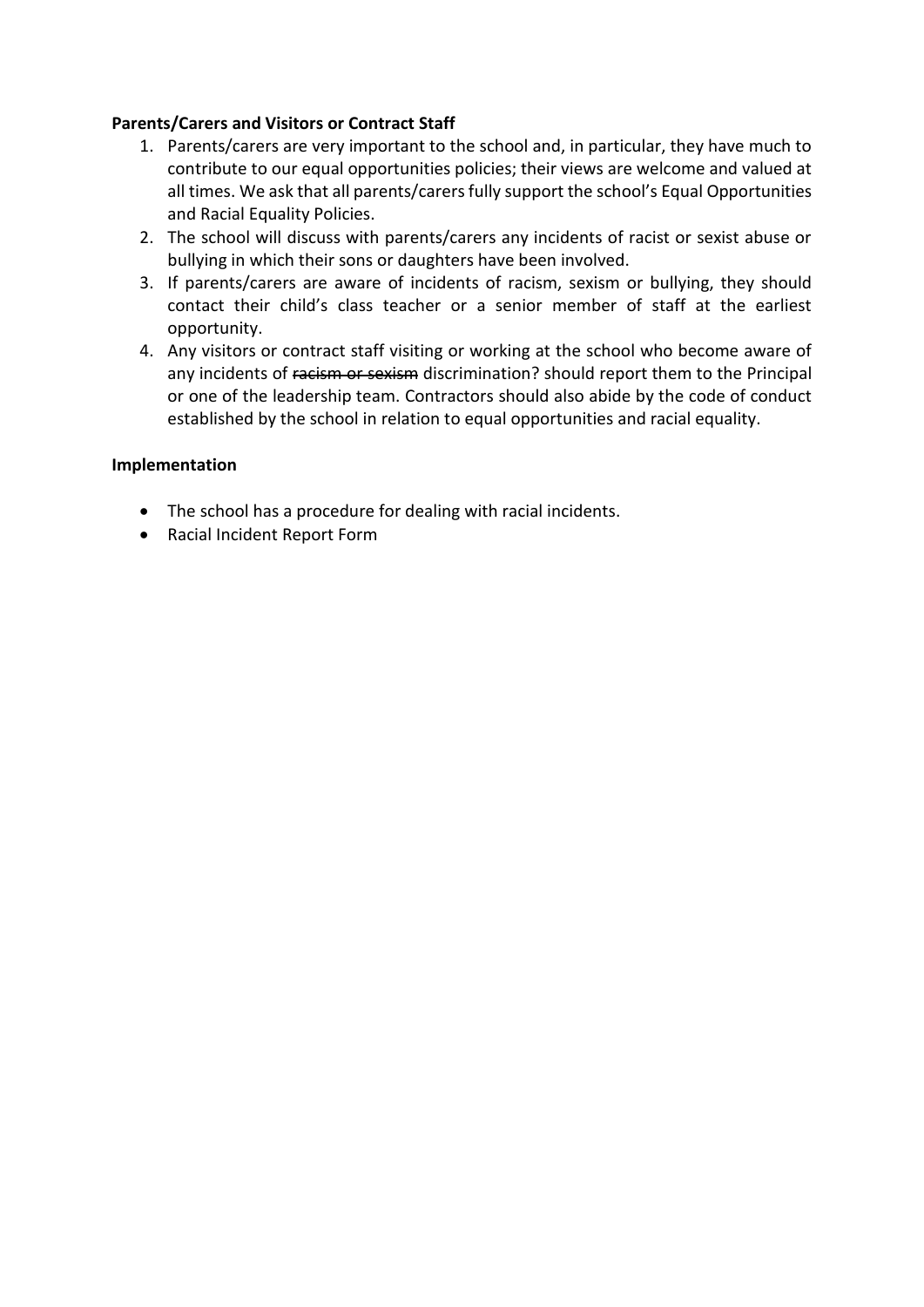## **Parents/Carers and Visitors or Contract Staff**

- 1. Parents/carers are very important to the school and, in particular, they have much to contribute to our equal opportunities policies; their views are welcome and valued at all times. We ask that all parents/carers fully support the school's Equal Opportunities and Racial Equality Policies.
- 2. The school will discuss with parents/carers any incidents of racist or sexist abuse or bullying in which their sons or daughters have been involved.
- 3. If parents/carers are aware of incidents of racism, sexism or bullying, they should contact their child's class teacher or a senior member of staff at the earliest opportunity.
- 4. Any visitors or contract staff visiting or working at the school who become aware of any incidents of racism or sexism discrimination? should report them to the Principal or one of the leadership team. Contractors should also abide by the code of conduct established by the school in relation to equal opportunities and racial equality.

#### **Implementation**

- The school has a procedure for dealing with racial incidents.
- Racial Incident Report Form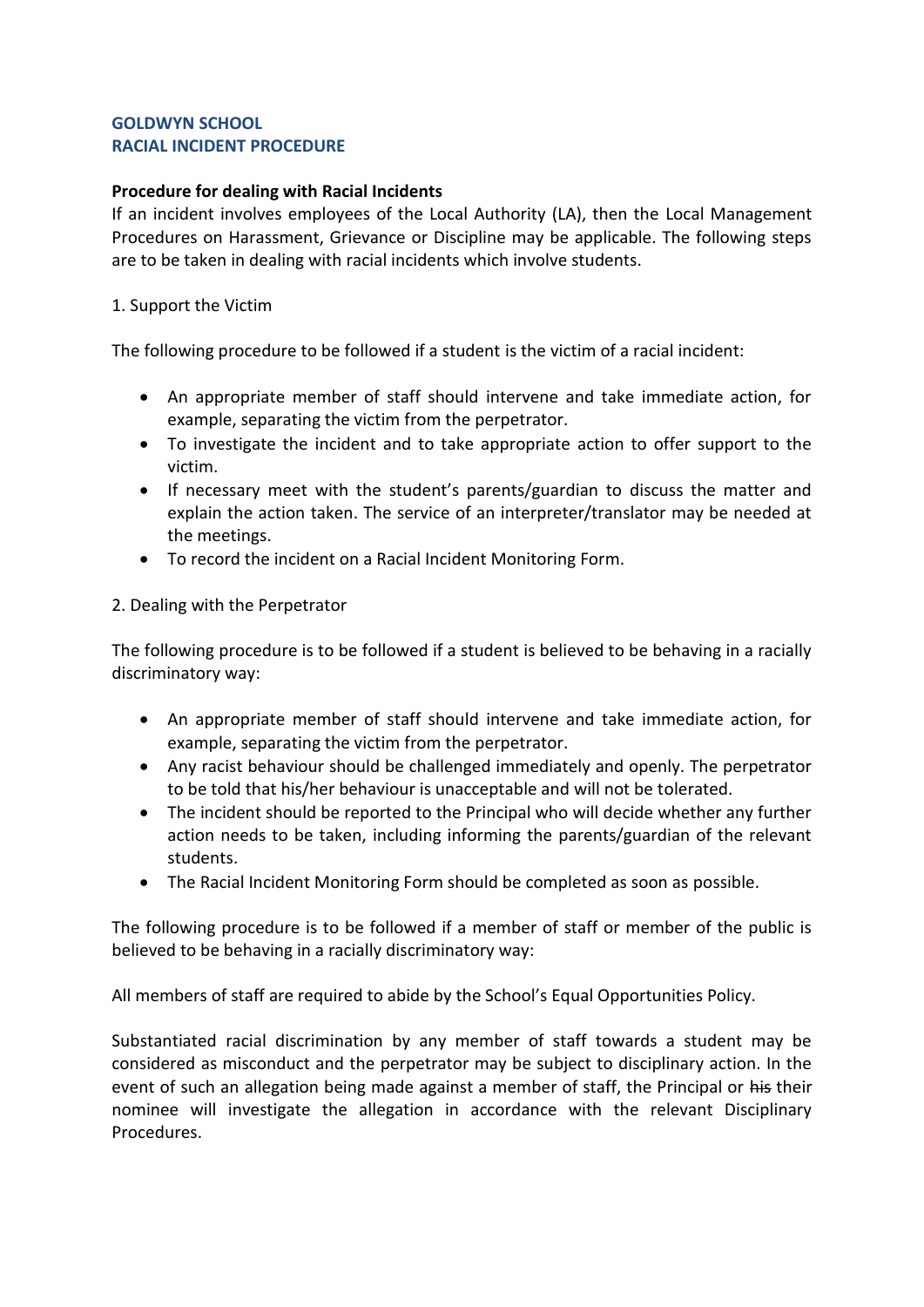#### **GOLDWYN SCHOOL RACIAL INCIDENT PROCEDURE**

# **Procedure for dealing with Racial Incidents**

If an incident involves employees of the Local Authority (LA), then the Local Management Procedures on Harassment, Grievance or Discipline may be applicable. The following steps are to be taken in dealing with racial incidents which involve students.

#### 1. Support the Victim

The following procedure to be followed if a student is the victim of a racial incident:

- An appropriate member of staff should intervene and take immediate action, for example, separating the victim from the perpetrator.
- To investigate the incident and to take appropriate action to offer support to the victim.
- If necessary meet with the student's parents/guardian to discuss the matter and explain the action taken. The service of an interpreter/translator may be needed at the meetings.
- To record the incident on a Racial Incident Monitoring Form.

#### 2. Dealing with the Perpetrator

The following procedure is to be followed if a student is believed to be behaving in a racially discriminatory way:

- An appropriate member of staff should intervene and take immediate action, for example, separating the victim from the perpetrator.
- Any racist behaviour should be challenged immediately and openly. The perpetrator to be told that his/her behaviour is unacceptable and will not be tolerated.
- The incident should be reported to the Principal who will decide whether any further action needs to be taken, including informing the parents/guardian of the relevant students.
- The Racial Incident Monitoring Form should be completed as soon as possible.

The following procedure is to be followed if a member of staff or member of the public is believed to be behaving in a racially discriminatory way:

All members of staff are required to abide by the School's Equal Opportunities Policy.

Substantiated racial discrimination by any member of staff towards a student may be considered as misconduct and the perpetrator may be subject to disciplinary action. In the event of such an allegation being made against a member of staff, the Principal or his their nominee will investigate the allegation in accordance with the relevant Disciplinary Procedures.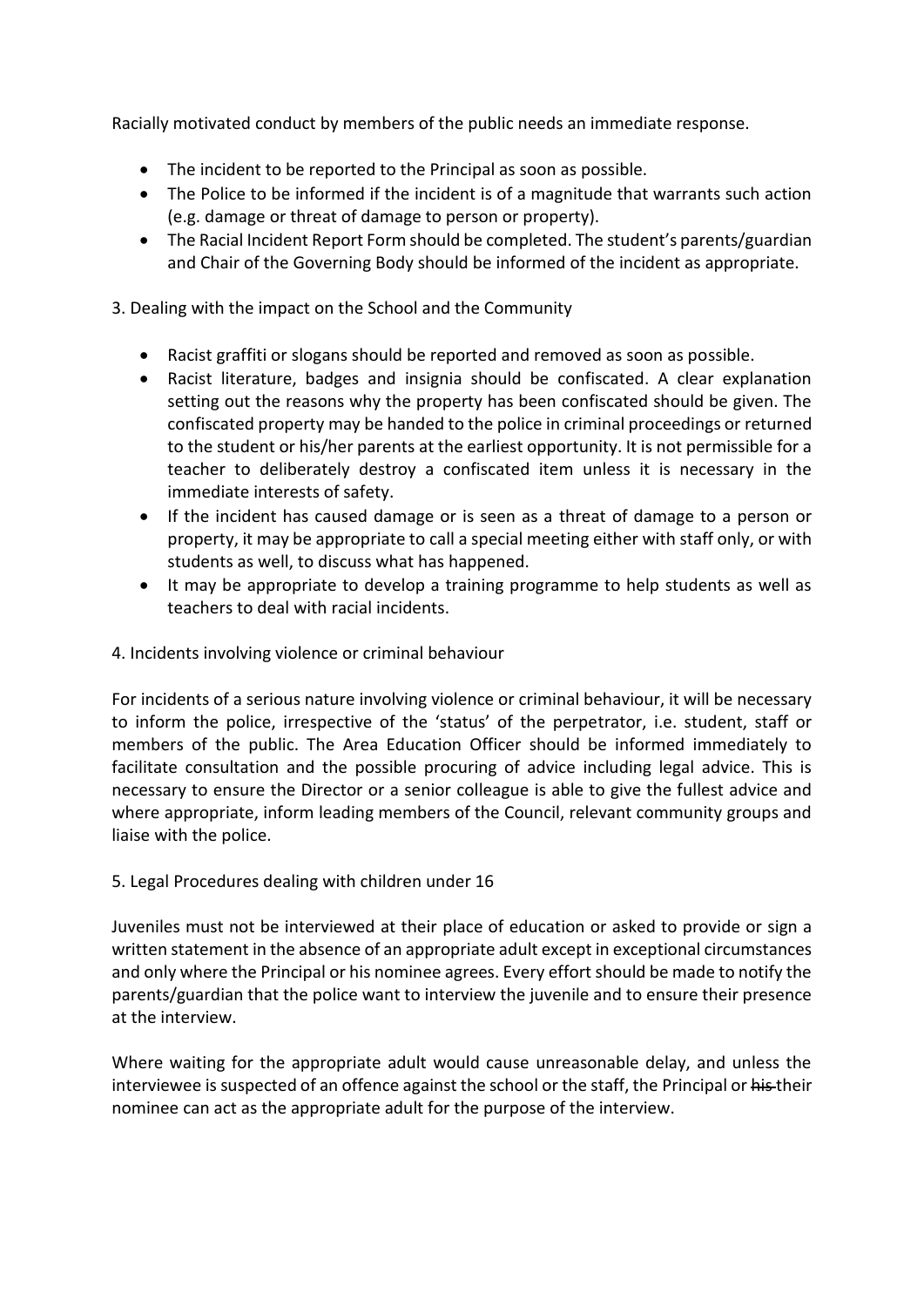Racially motivated conduct by members of the public needs an immediate response.

- The incident to be reported to the Principal as soon as possible.
- The Police to be informed if the incident is of a magnitude that warrants such action (e.g. damage or threat of damage to person or property).
- The Racial Incident Report Form should be completed. The student's parents/guardian and Chair of the Governing Body should be informed of the incident as appropriate.

3. Dealing with the impact on the School and the Community

- Racist graffiti or slogans should be reported and removed as soon as possible.
- Racist literature, badges and insignia should be confiscated. A clear explanation setting out the reasons why the property has been confiscated should be given. The confiscated property may be handed to the police in criminal proceedings or returned to the student or his/her parents at the earliest opportunity. It is not permissible for a teacher to deliberately destroy a confiscated item unless it is necessary in the immediate interests of safety.
- If the incident has caused damage or is seen as a threat of damage to a person or property, it may be appropriate to call a special meeting either with staff only, or with students as well, to discuss what has happened.
- It may be appropriate to develop a training programme to help students as well as teachers to deal with racial incidents.

#### 4. Incidents involving violence or criminal behaviour

For incidents of a serious nature involving violence or criminal behaviour, it will be necessary to inform the police, irrespective of the 'status' of the perpetrator, i.e. student, staff or members of the public. The Area Education Officer should be informed immediately to facilitate consultation and the possible procuring of advice including legal advice. This is necessary to ensure the Director or a senior colleague is able to give the fullest advice and where appropriate, inform leading members of the Council, relevant community groups and liaise with the police.

#### 5. Legal Procedures dealing with children under 16

Juveniles must not be interviewed at their place of education or asked to provide or sign a written statement in the absence of an appropriate adult except in exceptional circumstances and only where the Principal or his nominee agrees. Every effort should be made to notify the parents/guardian that the police want to interview the juvenile and to ensure their presence at the interview.

Where waiting for the appropriate adult would cause unreasonable delay, and unless the interviewee is suspected of an offence against the school or the staff, the Principal or his their nominee can act as the appropriate adult for the purpose of the interview.